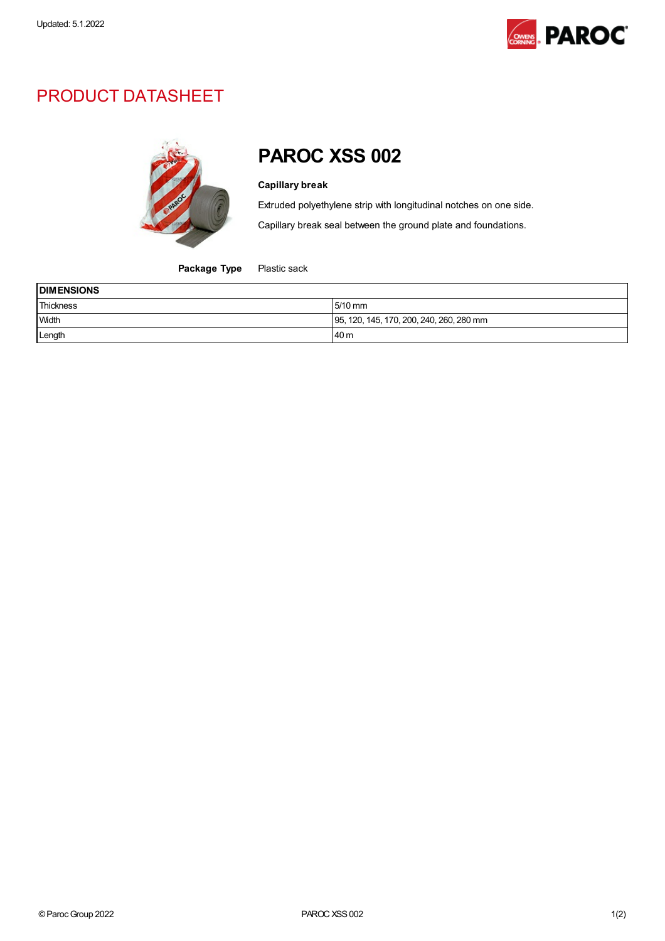

## PRODUCT DATASHEET



## PAROC XSS 002

## Capillary break

Extruded polyethylene strip with longitudinal notches on one side.

Capillary break seal between the ground plate and foundations.

Package Type Plastic sack

| <b>DIMENSIONS</b> |                                          |  |
|-------------------|------------------------------------------|--|
| Thickness         | $5/10$ mm                                |  |
| Width             | 95, 120, 145, 170, 200, 240, 260, 280 mm |  |
| Length            | 40 m                                     |  |